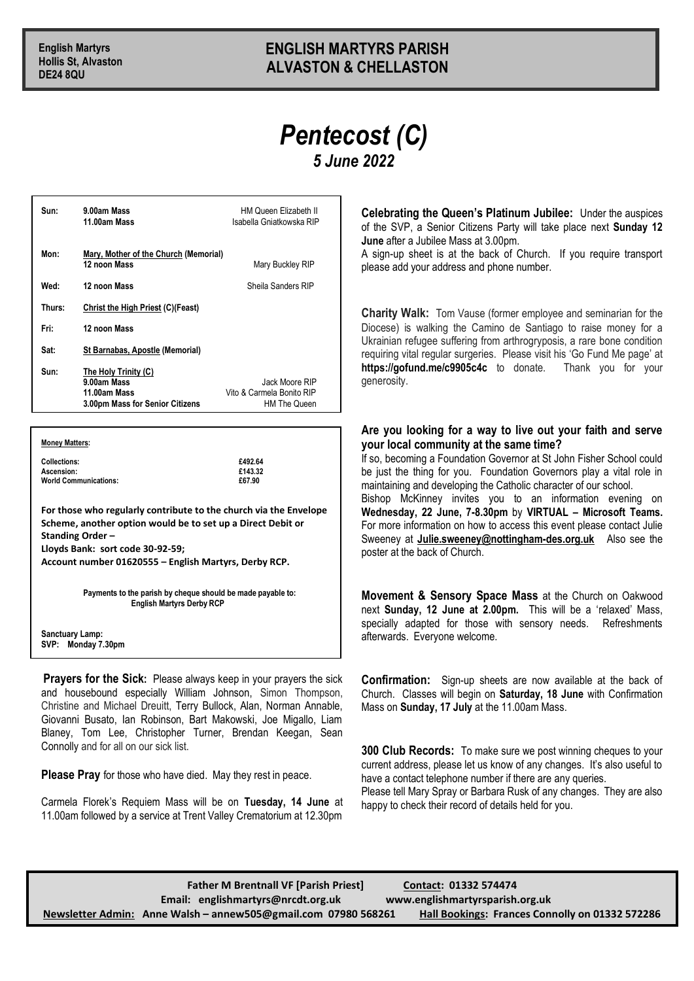## **English Martyrs ENGLISH MARTYRS PARISH Hollis St, Alvaston ALVASTON & CHELLASTON**

## *Pentecost (C) 5 June 2022*

| Sun:                                                              | 9.00am Mass<br>11.00am Mass                                                            | HM Queen Elizabeth II<br>Isabella Gniatkowska RIP                  |
|-------------------------------------------------------------------|----------------------------------------------------------------------------------------|--------------------------------------------------------------------|
| Mon:                                                              | <b>Mary, Mother of the Church (Memorial)</b><br>12 noon Mass                           | Mary Buckley RIP                                                   |
| Wed:                                                              | 12 noon Mass                                                                           | Sheila Sanders RIP                                                 |
| Thurs:                                                            | <b>Christ the High Priest (C)(Feast)</b>                                               |                                                                    |
| Fri:                                                              | 12 noon Mass                                                                           |                                                                    |
| Sat:                                                              | <b>St Barnabas, Apostle (Memorial)</b>                                                 |                                                                    |
| Sun:                                                              | The Holy Trinity (C)<br>9.00am Mass<br>11.00am Mass<br>3.00pm Mass for Senior Citizens | Jack Moore RIP<br>Vito & Carmela Bonito RIP<br><b>HM The Queen</b> |
|                                                                   |                                                                                        |                                                                    |
| <b>Money Matters:</b>                                             |                                                                                        |                                                                    |
| <b>Collections:</b><br>Ascension:<br><b>World Communications:</b> |                                                                                        | £492.64<br>£143.32<br>£67.90                                       |

**For those who regularly contribute to the church via the Envelope Scheme, another option would be to set up a Direct Debit or Standing Order –**

**Lloyds Bank: sort code 30-92-59;** 

**Account number 01620555 – English Martyrs, Derby RCP.**

**Payments to the parish by cheque should be made payable to: English Martyrs Derby RCP**

**Sanctuary Lamp: SVP: Monday 7.30pm**

**Prayers for the Sick:** Please always keep in your prayers the sick and housebound especially William Johnson, Simon Thompson, Christine and Michael Dreuitt, Terry Bullock, Alan, Norman Annable, Giovanni Busato, Ian Robinson, Bart Makowski, Joe Migallo, Liam Blaney, Tom Lee, Christopher Turner, Brendan Keegan, Sean Connolly and for all on our sick list.

**Please Pray** for those who have died. May they rest in peace.

Carmela Florek's Requiem Mass will be on **Tuesday, 14 June** at 11.00am followed by a service at Trent Valley Crematorium at 12.30pm

**Celebrating the Queen's Platinum Jubilee:** Under the auspices of the SVP, a Senior Citizens Party will take place next **Sunday 12 June** after a Jubilee Mass at 3.00pm.

A sign-up sheet is at the back of Church. If you require transport please add your address and phone number.

**Charity Walk:** Tom Vause (former employee and seminarian for the Diocese) is walking the Camino de Santiago to raise money for a Ukrainian refugee suffering from arthrogryposis, a rare bone condition requiring vital regular surgeries. Please visit his 'Go Fund Me page' at **https://gofund.me/c9905c4c** to donate. Thank you for your generosity.

## **Are you looking for a way to live out your faith and serve your local community at the same time?**

If so, becoming a Foundation Governor at St John Fisher School could be just the thing for you. Foundation Governors play a vital role in maintaining and developing the Catholic character of our school.

Bishop McKinney invites you to an information evening on **Wednesday, 22 June, 7-8.30pm** by **VIRTUAL – Microsoft Teams.**  For more information on how to access this event please contact Julie Sweeney at **[Julie.sweeney@nottingham-des.org.uk](mailto:Julie.sweeney@nottingham-des.org.uk)** Also see the poster at the back of Church.

**Movement & Sensory Space Mass** at the Church on Oakwood next **Sunday, 12 June at 2.00pm.** This will be a 'relaxed' Mass, specially adapted for those with sensory needs. Refreshments afterwards. Everyone welcome.

**Confirmation:** Sign-up sheets are now available at the back of Church. Classes will begin on **Saturday, 18 June** with Confirmation Mass on **Sunday, 17 July** at the 11.00am Mass.

**300 Club Records:** To make sure we post winning cheques to your current address, please let us know of any changes. It's also useful to have a contact telephone number if there are any queries. Please tell Mary Spray or Barbara Rusk of any changes. They are also happy to check their record of details held for you.

Father M Brentnall VF [Parish Priest] Contact: 01332 574474  **Email: [englishmartyrs@nrcdt.org.uk](mailto:englishmartyrs@nrcdt.org.uk) [www.englishmartyrsparish.org.uk](http://www.englishmartyrsparish.org.uk/) Newsletter Admin:** Anne Walsh - [annew505@gmail.com](mailto:annew505@gmail.com) 07980 568261